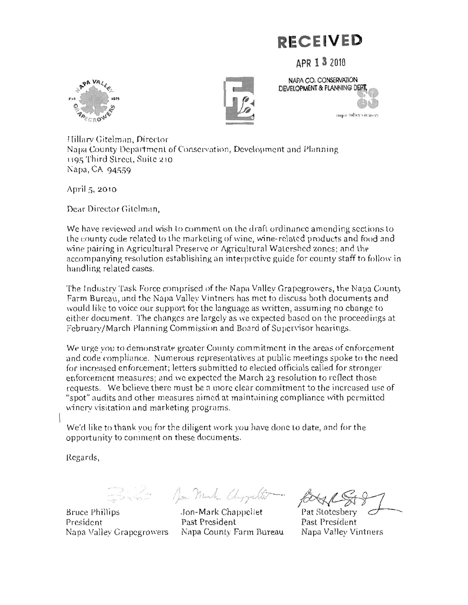## *DECEIVED*

APR 1 3 2010







Hillary Gitelman, Director Napa County Department of Conservation, Development and Planning 1195 Third Street, Suite 210 Napa, CA 94559

April 5, 2010

Dear Director Gitelman,

We have reviewed and wish to comment on the draft ordinance amending sections to the county code related to the marketing of wine, wine-related products and food and wine pairing in Agricultural Preserve or Agricultural Watershed zones; and the accompanying resolution establishing an interpretive guide for county staff to follow in handling related cases.

The Industry Task Force comprised of the Napa Valley Grapegrowers, the Napa County Farm Bureau, and the Napa Valley Vintners has met to discuss both documents and would like to voice our support for the language as written, assuming no change to either document. The changes are largely as we expected based on the proceedings at February/March Planning Commission and Board of Supervisor hearings.

We urge you to demonstrate greater County commitment in the areas of enforcement and code compliance. Numerous representatives at public meetings spoke to the need for increased enforcement; letters submitted to elected officials called for stronger enforcement measures; and we expected the March 23 resolution to reflect those requests. We believe there must be a more clear commitment to the increased use of "spot" audits and other measures aimed at maintaining compliance with permitted winery visitation and marketing programs.

We'd like to thank you for the diligent work you have done to date, and for the opportunity to comment on these documents.

Regards,

Ern - Non-Mark Chyguler.

**Bruce Phillips** President Napa Valley Grapegrowers Napa County Farm Bureau

Jon-Mark Chappellet Past President

Pat Stotesbery Past President Napa Valley Vintners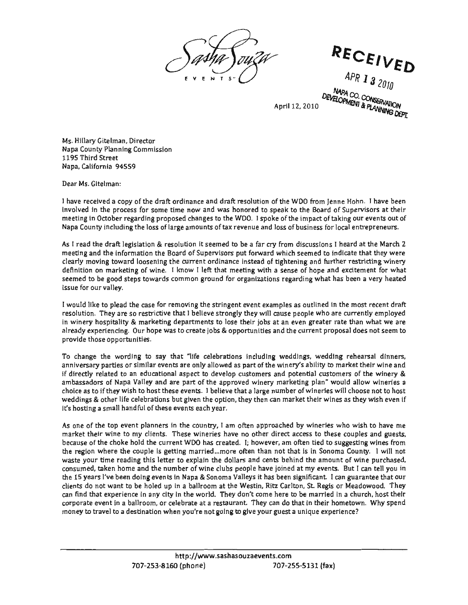RECEIVED APR 1 3 2010 NAPA CO, CONSERVATION<br>ELOPMENT & PLANNINATION DEVELOPMENT & PLANNING DEPT.

April 12, 2010

Ms. Hillary Gitelman, Director Napa County Planning Commission 1195 Third Street Napa, California 94559

Dear Ms. Gitelman:

a copy of the draft ordinance and draft resolution of the WDO from Jenne Hohn. I have been n. I have been<br>visors at their<br>ir events out of received<br> $\frac{1}{2}$ e<br>ne<br>it urs. to the WDO. I spoke of the impact of taking our event<br>of tax revenue and loss of business for local entreprer<br>anned to be a far can from discussions. I heard at the l process for some time now and was honored to speak to the Board of Supervaber regarding proposed changes to the WDO. I spoke of the impact of taking our cluding the loss of large amounts of tax revenue and loss of business m of the WDO from Jenne Ho<br>o speak to the Board of Supe<br>poke of the impact of taking o nı<br>ol<br>1 ห<br>tc<br>ภัก re:<br>מת<br>ev ih<br>e<br>x dır<br>vaitl<br>ta choice and<br>ges to<br>nts c n october regarding proposed changes to<br>hty including the loss of large amounts o ceived a copy of the draft ord<br>in the process for some time<br>n October regarding propose the of<br>s 1<br>th ve<br>th<br>.:

the draft legislation & resolution it seemed to be a far cry from discussions I heard at the March 2<br>nd the information the Board of Supervisors put forward which seemed to indicate that they were<br>oving toward loosening th I heard at the March 2<br>indicate that they were<br>ther restricting winery<br>nd excitement for what of thow I left that meeting with a sense of hope and excitement for what<br>immon ground for organizations regarding what has been a very heated<br>noving the stringent event examples as outlined in the most recent draft the draft legislation & resolution it seemed to be a far cry from discussions I heard at the March<br>nd the information the Board of Supervisors put forward which seemed to indicate that they we rce instead of tightening and further restricting w!<br>meeting with a sense of hope and excitement for<br>pr organizations regarding what has been a very he re<br>e:<br>e: torward which<br>istead of tighte<br>ing with a sens ra<br>S .<br>Tro<br>eh ld<br>P<br>it rc<br>ar<br>itie<br>itie nd the information the Board of Supervisors pl<br>oving toward loosening the current ordinance<br>on marketing of wine. I know I left that mee or<br>¦e ef<br>rc<br>ac ward loosening the currer<br>keting of wine. I know I<br>d stens towards common clients. iarketing of wi<br>ood steps towa<br>llev. sood<br>alley. lra<br>ne<br>na in<br>be<br>rv de<br>d<br>du

dring what has been a very headed<br>soutlined in the most recent draft<br>cople who are currently employed d<br>e<br>o towing the stringent event examples as outlined in the most recent ora<br>at I believe strongly they will cause people who are currently employer<br>construction is lose their is by at an even greater with then what we a ents to lose their jobs at an even greater rate than what we a<br>e jobs & opportunities and the current proposal does not seem<br>. am<br>it )S<br>!ከ<br>ነ<del>ቦ</del> te<br>Si s outlined in<br>eople who ar<br>en greater ra<br>current prop c<br>p: It is to lose their jobs at an experience part of the set of the set of the set of the set of the set of the set of the set of the set of the set of the set of the set of the set of the set of the set of the set of the set us<br>ar<br>d m  $\frac{1}{2}$  the stringent events are the stringen term of the set of  $\frac{1}{2}$ that I be<br>, departm to creat as<br>.. or<br>ji <sup>,</sup> hospitality & marketin<br>xperiencing. Our hope **v**<br>hose opportunities. e<br>rid<br>1le cale<br>International<br>International ey are so r<mark>es</mark> perfending. Or<br>10se opportunit sur vaney.<br>ke to plead t<br>n. Thev are s itality<br>Incine in<br>in<br>io ce<br>Ch<br>Pri

duing renears at unifiers,<br>bo market their wine and x<br>a<br>it  $\frac{1}{\sqrt{2}}$  $dim$ e dinne y<br>es<br>10 the state and farmer of a minimized with shows the complete the state of the state of the state of the state of the state of the state of the state of the state of the state of the state of the state of the state of the st s of the wine<br>I allow winer choose not to<br>they wish e<mark>v</mark> n<br>N<br>O edding rehea<br>that market th related to an educational aspect to develop customers and potential customers of er<br>ke i<br>an<br>en If you are part of the approved winery marketing plan" would<br>y wish to host these events. I believe that a large number of wineries will<br>life celebrations but given the option, they then can market their wines a<br>ll handful method is all the which is all the which y stating which we have a spectrum of the which y stating plan."<br>More of Napa Valley and are part of the approved winery marketing plan." we<br>their they wish to bost these events. I us<br>n″<br>W stringent to say that "life celebrations including wedding"<br>In parties or similar events are only allowed as part of the winery's<br>In related to an educational aspect to develop customers and poter an market<br>pached by e wording to say that "life celebrations including weddenties or similar events are only allowed as part of the winer<br>ted to an educational aspect to develop customers and po<br>of Napa Valley and are part of the approved win e<br>a<br>nu<br>can in<br>ar<br>st to if they wish to host these events. I believe than than the option, than the option, the a small handful of these events each vear. s<br>or<br>on other life celebrations but given tr<br>Small handful of these events eacl a<br>ut<br>d p<br>r<br>r if tl<br>oth th<br>P<br>ela

its in the country, I am often approached by wineries who wish to have hie<br>ts. These wineries have no other direct access to these couples and guests,<br>turrent WDO has created. I: however, am often tied to suggesting wines enoke hold the current wix has created. I; however, am oten tied to suggesting whiles from<br>the couple is getting married...more often than not that is in Sonoma County. I will not<br>the reading this letter to explain the dol it I can tell you in<br>quarantee that our<br>leadowood. The<mark>y</mark> be holed up in a ballroom at the Westin, Ritz Carlton, St. Regis or Meadowood. They<br>e in any city in the world. They don't come here to be married in a church, host their<br>Ilroom or celebrate at a restaurant. They can do th ' spena<br>' see couples and gues<br>suggesting wines from<br>the County. I will no where the couple is getting married...more often than not that is in Sonoma County. I will number of wine purchase<br>time reading this letter to explain the dollars and cents behind the amount of wine purchase<br>also have and r<br>Ch<br>De: ries who wish to h<br>these couples and<br>I to suggesting win nd<br>in<br>l and cents behind the amount of wine purple have joined at my events. But I can tell<br>ple have joined at my events. But I can tell he<br>Vh el<br>חות<br>-<br>he been doing events in Napa & Sonoma Valleys it has been significant. I can guara<br>want to be holed up in a ballroom at the Westin, Ritz Carlton, St. Regis or Meadd<br>perience in any city in the world. They don't come here t at onar<br>town<br>te? the very recent the very recent experience.<br>It is unique experience it my events. B<br>gnificant I can r<br>1 a<br>ier<br>ier e<br>i d<br>exc want to be holed up in a ballroom at the Westin, Ritz Carlton, St. Reg<br>xperience in any city in the world. They don't come here to be marrie<br>t in a ballroom, or celebrate at a restaurant. They can do that in their ft<br>t<br>id im orten approached<br>ave no other direct a<br>ted. I; however, am o ns ven<br>e joined<br>itz Carl an d<br>gue ur<br>Pr year.<br>y, I am ofter<br>ies have no<br>: created. I; I es<br>n'<br>... etter to explain the dollar<br>mumber of wine clubs pe market mand the number of wine clubs per<br>want to be holed up in a ballroom at the V<br>want to be holed up in a ballroom at the V<br>mariange in agreeding the world. They de with the dambon, or celebrate at a residential<br>avel to a destination when you're not going to ol<br>a<br>h io<br>I ic<br>Li<br>Li nl<br>le i<br>In<br>L have diot these<br>blanners free<br>clients. access s<br>di<br>cs the top event plann<br>eir wine to my clier oke hold the ding this<br>me and th<br>n doing ev id<br>nd<br>nu na<br>. <sub>–</sub>..\_.<br>/ent io<br>e i<br>ad to<br>en<br>d nan<br>Cop e<br>vine nt<br>er:<br>p:a to i wii<br>he cl رم ون<br>f the al<br>|<br>|<br>|<br>| t ne<br>תּו ur<br>d,<br>p, i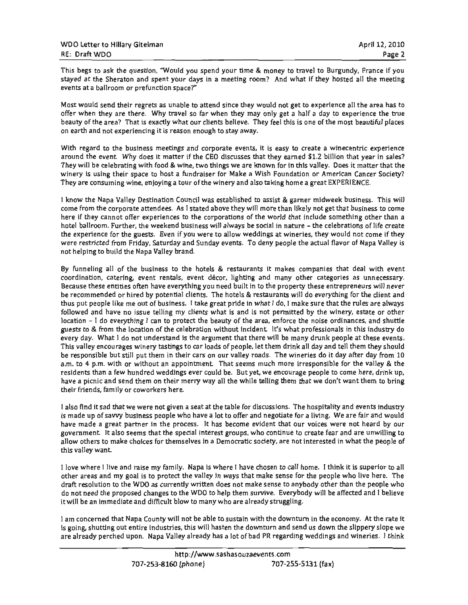This begs to ask the question, "Would you spend your time & money to travel to Burgundy, France if you stayed at the Sheraton and spent your days in a meeting room? And what if they hosted all the meeting events at a ballroom or prefunction space?"

Most would send their regrets as unable to attend since they would not get to experience all the area has to offer when they are there. Why travel so far when they may only get a half a day to experience the true beauty of the area? That is exactly what our clients believe. They feel this is one of the most beautiful places on earth and not experiencing it is reason enough to stay away.

With regard to the business meetings and corporate events, it is easy to create a winecentric experience around the event. Why does it matter if the CEO discusses that they earned \$1.2 billion that year in sales? They will be celebrating with food & wine, two things we are known for in this valley. Does it matter that the winery is using their space to host a fundraiser for Make a Wish Foundation or American Cancer Society? They are consuming wine, enjoying a tour of the winery and also taking home a great EXPERIENCE.

iw the Napa Valley Destination Council was established to assist & garner midweek business. This will<br>Stem the car-amts attacked As Latated above they will maps the likely not get that business to some nci was established to assist & garner midweek business. This will<br>stated above they will more than likely not get that business to come<br>the corporations of the world that include something other than a<br>siness will always cannot offer experiences to the corporations of the world that include something other than a<br>m. Further, the weekend business will always be social in nature – the celebrations of life create<br>ce for the guests. Even if y not come if they<br>of Napa Valley is cnow the Napa Valley Destination Council was established to assist & garner midweek business. This w<br>me from the corporate attendees. As I stated above they will more than likely not get that business to con<br>re if they can r<br>fe<br>V experience<br>Prefi<br>Prefi g<br>s<br>Na Fire and detectation<br>Fires, they would n<br>the actual flavor of com<br>coordination<br>w 11<br>Di<br>10 the rulet, the weekend business will always be social in hacure – the<br>ce for the guests. Even if you were to allow weddings at wineries, the<br>ed from Eriday, Saturday and Sunday events. To deny neonle the acti y<br>r<br>s,<br>a ga<br>| l<br>|have do and what alleges at which and family saddled and family saddled and family saddled and family saddled a<br>from Mandian family saddled and family saddled and family saddled and the same of a state of an amount of the enco<br>C w:<br>of<br>Pe<br>T re<br>th<br>io sincted now Friday, saturday and<br>bing to build the Napa Valley brand n<br>S.<br>en<br>en . Even<br>Saturda ome trom the corporate attend<br>ere if they cannot offer exper<br>otel ballroom. Further, the we<br>se overgings for the guests experience for the gu<br>arestricted from Frid<br>pelping to build the N re<br>rt<br>pn ed<br>D<br>D th<br>all<br>:Si er<br>ot

Valley offer Further, the the the catering, entities me no do still or send or we and goal the Destination rdinances, and shuttle<br>als in this industry do ay. What I do not understand is the argument that there will be many drunk people at these events.<br>Iey encourages winery tastings to car loads of people, let them drink all day and tell them they should<br>onsible but still p established .<br>el u<br>Ve<br>an<br>ay cation of the celebration without incident. It's what professionals in this industry d<br>ot understand is the argument that there will be many drunk people at these event:<br>winery tastings to car loads of people, let them dri its valley encourages winery tastings to car loads or people, let thein drink all day and tell them they shoul<br>responsible but still put them in their cars on our valley roads. The wineries do it day after day from 1<br>n. to appointment. That seems much more irresponsible for the valley & the dings ever could be. But yet, we encourage people to come here, drink up eir merry way all the while telling them that we don't want them to brin n<br>nt<br>o ents what is and is not permitted by the winery, estate or of<br>the beauty of the area, enforce the noise ordinances, and shi<br>ation without incident. It's what professionals in this industry<br>e argument that there will be man cho<br>D<br>nk the guests of the guests to the hotels  $\&$  restaurants it makes companies that deal with pordination, catering, event rentals, event décor, lighting and many other categories as unnece and execuse these entities often hav n<br>ie<br>Ol d<br>us<br>a  $\ddot{a}$ estaurants will do everything for the<br>what I do, I make sure that the rule<br>i not permitted by the winery, est events. The wineries do it day after<br>The wineries do it day after<br>encourage people to come he bus<br>bus<br>at out of business. I take great pride in what I do, I make sure that<br>issue telling my clients what is and is not permitted by the wing<br>ing I can to protect the beauty of the area, enforce the noise or e<br>D<br>I'l atering, event rentals, event décor, lighting and many other cate<br>entities often have everything you need built in to the property these e<br>ed or hired by potential clients. The hotels & restaurants will do every<br>like me ou ndred weddings ever could be. But yet, we encourage people<br>:hem on their merry way all the while telling them that we do<br>oworkers here. have over young you need built in to the property these<br>or hired by potential clients. The hotels & restaurants will do eve everything<br>everything<br>everything b<br>bus<br>d have no issue tening my chemis what is and is not permitted below. ak<br>an ce<br>celebration<br>celebration e<br>L th<br>alt<br>pt t)<br>ls<br>uc --<br>et<br>La of valley Todi<br>hat seems m or hired by potential clients. The hotels &<br>se me out of business. I take great pride in<br>e no issue telling my clients what is and i<br>erything I can to protect the beauty of the an<br>ft<br>na<br>op s<br>W es<br>lig<br>b  $rac{c}{n}$ e<br>av<br>hi onsible but still put them in their<br>4 p.m. with or without an appoin wed and nave no issue telling my<br>ion – I do everything I can to pro<br>ts to & from the location of the ce t<br>të e) ds<br>themselves<br>st n<br>an<br>ec<br>fl n. to 4 p.m. with or wi<br>sidents than a few hund<br>ve a picnic and send th iests to & from the lo<br>very day. What I do r<br>his valley encourages ve a picnic and send<br>elr friends, family or<br>lead<sup>s it</sup> and that wi sidents than a rew<br>ve a picnic and se ping to bui<br>neling all<br>iation. cat to purpeople<br>Illowed and have<br>cation – I do ev e<br>di<br>di ecause t<br>e recom<br>us nut i industries<br>Industries<br>Industries res<sub>)</sub><br>n. to

ment mat we don't want them to oring<br>ns. The hospitality and events industry<br>ate for a living. We are fair and would % ving. We are fair and would<br>
ces were not heard by our<br>
te fear and are unwilling to<br>
rested in what the neonle of g to<br>e of r discussions. The hospitality and events indu<br>and negotiate for a living. We are fair and we<br>caridont that our voices were not board by mer in the process. It has become evident that our voices were not heard by<br>ms that the special interest groups, who continue to create fear and are unwillin<br>ofses for themselves in a Democratic society, are not interested process. It has become evident that our voices were not heard by<br>impercial interest groups, who continue to create fear and are unwillinemselves in a Democratic society, are not interested in what the peoplemselves in a De companies<br>Companies<br>Companies re<br>T<br>Se  $\ddot{\phantom{1}}$ ate f<br>nat o<br>nue t i<mark>scus</mark><br>d ne y ousiness people who have a lot to offer and ne<br>t partner in the process. It has become evider<br>o seems that the special interest groups, who co drum<br>drum<br>drum reat at the table for<br>o have a lot to offer a<br>ess. It has become e w<br>c irre<br>ha<br>iri enco<br>Po<br>O ai<br>a\<br>. event society, chosen makes the chosen makes the chosen materials. iv<br>e<br>P so seems that the :<br>ike choices for the<br> .<br>fa ai<br>Y eir menus, iami<br>Iso find it sad t<mark>h</mark> made a greater<br>made a greater<br>others to m struggling.<br>Struggling<br>Struggling. do<br>nt<br>ch fr<br>d  $\frac{1}{n}$ rm<br>avi<br>la:

superior to a<br>superior to a aise my ramily. Inapa is where I have chosen to call home. I think it is superior to a<br>I is to protect the valley in ways that make sense for the people who live here. Th<br>/DO as currently written does not make sense to any tv: Some where I live and raise my rainity. Napa is where I have chosen to call home. I think it is superior the are are are are are are and my goal is to protect the valley in ways that make sense for the people who live here io<br>:r:<br>[ t r resolution to the WDO as currently written does not make sense to anybody other than the pe<br>ot need the proposed changes to the WDO to help them survive. Everybody will be affected and<br>il be an immediate and difficult bl categories<br>categories<br>categories entrepre<br>Anti<br>Si e<br>thi<br>nd h<br>. the estate and difficult blow to many who are already struggling<br>here, foundationally the heard the custom with the desired ord<br>NS<br>Ordina<br>Ordinance professionals<br>Professionals<br>Professionals e I h<mark>ave ch</mark> er<br>w pa<br>val living. e where I live and raise my faming<br>the the down and the stop of the down and we do  $\epsilon$  and  $\ln m$ is valley<br>ove wh re<br>St<br>76 n<br>vi

t an eady stragging<br>ain with the downturn in the economy. At the rate it<br>e downturn and send us down the slippery slope we going, shutting out entire industries, this will hasten the downturn and send us down the slippery slope we<br>e already perched upon. Napa Valley already has a lot of bad PR regarding weddings and wineries. I think y slope<br>i<mark>es. 1 t</mark>ł im with the downturn in the economy. /<br>e downturn and send us down the slippe<br>of bad PR regarding weddings and wine e<br>w<br>ng never y will not be able to sus<br>istries, this will hasten th a County will not be<br>tire industries, this w<br>n. Napa Valley alrea liate an<br>at Napa icerned th concerned th<br>ing, shutting<br>lready perch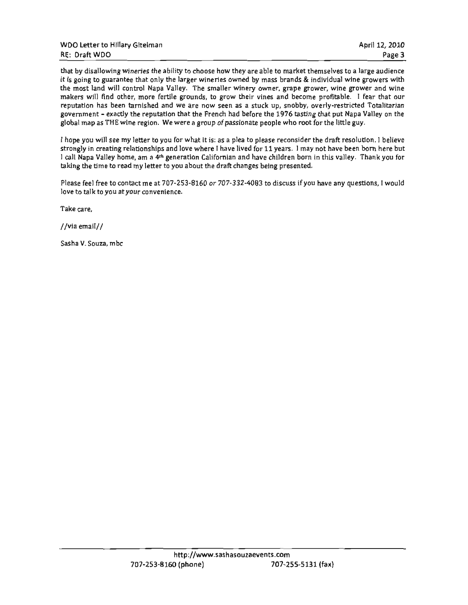| WDO Letter to Hillary Gitelman | April 12, 2010 |
|--------------------------------|----------------|
| <b>RE: Draft WDO</b>           | Page 3         |

that by disallowing wineries the ability to choose how they are able to market themselves to a large audience it is going to guarantee that only the larger wineries owned by mass brands & individual wine growers with the most land will control Napa Valley. The smaller winery owner, grape grower, wine grower and wine makers will find other, more fertile grounds, to grow their vines and become profitable. I fear that our reputation has been tarnished and we are now seen as a stuck up, snobby, overly-restricted Totalitarian government - exactly the reputation that the French had before the 1976 tasting that put Napa Valley on the global map as THE wine region. We were a group of passionate people who root for the little guy.

I hope you will see my letter to you for what it is: as a plea to please reconsider the draft resolution. I believe strongly in creating relationships and love where I have lived for 11 years. I may not have been born here but I call Napa Valley home, am a 4<sup>th</sup> generation Californian and have children born in this valley. Thank you for taking the time to read my letter to you about the draft changes being presented.

Please feel free to contact me at 707-253-8160 or 707-332-4083 to discuss if you have any questions, I would love to talk to you at your convenience.

Take care.

//via email//

Sasha V. Souza, mbc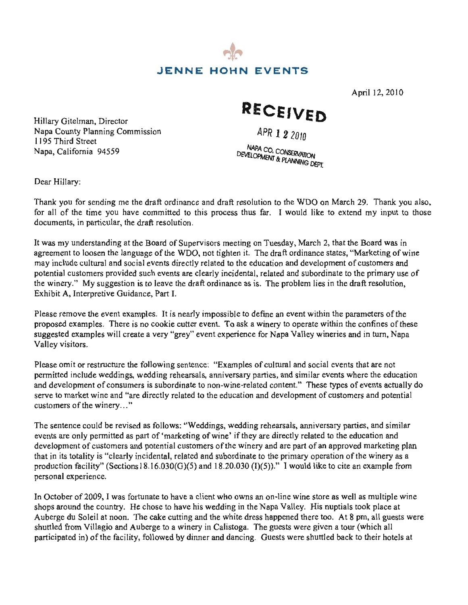

April 12, 2010

RECEIVED

APR 1 2 2010

.<br>NAPA CO, CONSERVATION<br>VELOPMENT & DI ANTITON DEVELOPMENT & PLANNING DEPT.

Dear Hillary:

1195 Third Street

Hillary Gitelman, Director

Napa, California 94559

Napa County Planning Commission

9. Thank you also, thus far. I would like to extend my input to those<br> $\frac{1}{2}$  $\frac{1}{2}$  $\frac{1}{\hbar}$ rc<br><sub>xt</sub> :<br>d s<br>suggested<br>on to the to the to the to the top of the top of the top of the top of the top of the top of the top of the to<br>on the top of the top of the top of the top of the top of the top of the top of the top of the top s<br>t permitted are the draft or dinance and draft is ss lra<br>oc ig me the draft ordinance and<br>ou have committed to this pi<br>lar the draft resolution na<br>t ular, the draft resolutio de<br>develop<br>de

 $\sum_{n=1}^{\infty}$ eeting on Tuesday, March 2, that the Board was in<br>ten it. The draft ordinance states, "Marketing of w<br>o the education and development of customers and nts directly related to the education and development of customers and<br>vents are clearly incidental, related and subordinate to the primary use  $\mu$  resolution, ank yo<br>nput to<br>was in<br>ers and<br>ary use<br>of the time you have to the to the to the to those documents,<br>note documents, in particular, in particular, the dramate<br>particular, in particular, the dramate<br>solution.<br>tiple wind the n<br>Bc<br>arl the language of the WDO, not tighten it. The draft ordinance states, "Measurement is also the WDO, not tighten it. of o<br>dra<br>dra events Martial customers provided such that the provided such that the provident such events are clearly provident as whis are continuity in a to the provident and substitution in a to determine to the provident and substitution O on N<br>ike to<br>rch 2, tl<br>nce sta<br>velopme<br>ordinance is in the winthe draft draft ordinance as<br>is to draft ordinance as is to problem a<br>His nup resolution, Exhibit A, I.<br>respective Guidance, Part I.<br>I.<br>i. I. I. I. I. I. I. I. -<br>Supervisors meeting on Tuesday,<br>WDO, not tighten it. The draft or nd<br>nd<br>ob ofthe proposed examples. There is no cookie cutter event. There is no confinent winery to compare within the confinence with the confinence with the confinence with the confinence with the confinence with the confinence wi  $\alpha$  following we define ion<br>far.<br>Tube dication<br>inceptions.<br>The visitors of culties<br>of culties of culties.<br>The visitors of the visitors.<br>Napa is happed of the culties.<br>Outlet of the culties of the culties. n<br>it consumers during Ints are clearly in<br>e the draft ordina<br>I.<br>I. and is potential customers of the winery.<br>
potential customers of the winery.<br>
potential customers of the winery.<br>
potential customers and the winer a<br>
potential customers and the winer a v<br>e<br>a i<br>ie of<br>ie as  $\overline{L}$ rd<br>f i eay<br>'ar the draft<br>the draft<br>ave comm<br>ne draft re:<br>t the Board<br>pocial even<br>ed such even<br>ed such even<br>idance, Pa<br>camples. I<br>is no coo<br>reate a ver<br>he followis, wedding<br>mers is sul<br>are directl<br>sed as foll<br>is part of "<br>and poten<br>y inci I ar<br>TC<br>!e ary:<br>
uu for sending<br>
f the time yc<br>
ts, in particul<br>
ude cultural a<br>
ude cultural a<br>
customers pr<br>
y." My sugg<br>
N, Interpretive<br>
move the eve<br>
examples. T<br>
dexamples w<br>
sitors.<br>
mit or restruct<br>
linclude wed<br>
lopment of c

 $rac{ss}{1}$ 'is<br>ie possible to define an event within the parament. To ask a winery to operate within the cor e<br>he<br>12 er<br>= bl<br>o<br>er vent within the para<br>operate within the<br>Valley wineries and r<br>custo e<br>se<br>et  $\frac{1}{\pi}$ cui<br>re a will create a very "grey" event experience for N<br> of Valley visitors.

re<br>II<br>ia ents that<br>s where<br>es of ev and "are directly related to the education and development of customers ery..." s t<br>zhi ing renearsals, anniversary parties, and similar events where<br>ubordinate to non-wine-related content." These types of<br>etly related to the education and development of custome t) ed<br>io ia<br>de exture the following sentence: "Examples of cult<br>ddings, wedding rehearsals, anniversary parties,<br>consumers is subordinate to non-wine-related co am<br>in Ex<br>niv<br>ed ،<br>ar<br>io reh<br>;<br>; ture the following customers of the winery..."

ws: "Weddings, wedding reher es, and similar<br>. s, lin<br>f v<br>rs draft .<br>11 e revised as follows: "Weddings, wedding rehearsals<br>itted as part of 'marketing of wine' if they are directly<br>omers and potential customers of the winery and are p and rd<br>d<br>ft arketing of wine' if they are directly related to the education and<br>al customers of the winery and are part of an approved marketing pl<br>, related and subordinate to the primary operation of the winery as a ke<br>cu<br>G) de<br>orc<br>cite omers and potential customers of the with<br>clearly incidental, related and subordin  $\mathfrak{n}$ p<br>m<br>... clearly incidental, related and subordinate to the primary operation of the winery as a<br>Sections 18.16.030(G)(5) and 18.20.030 (I)(5))." I would like to cite an example from<br>The primary operation is approximate to be seen 1<br>nt events personal experience.

 $\boldsymbol{v}_1$  $\mathbf{s}$  $\alpha$  to their hotels the wine store as well as nt who owns an on-tine wine store as well as<br>vedding in the Napa Valley. His nuptials tool<br>the white dress hannened there too. At 8 nm a winery in Calistoga. The guests were given a tour (w we a client who owns an on-line wine store as well<br>ave his wedding in the Napa Valley. His nuptials t<br>ting and the white dress happened there too. At 8 p v<br>ia<br>tc e v<br>all<br>ied  $\frac{1}{\sqrt{2}}$  who owh st<br>la winery in Cal<br>by dinner and I was fortunate to have ed<br>I<br>C market multiple multiple<br>the moon. The cake<br>io and Auberge t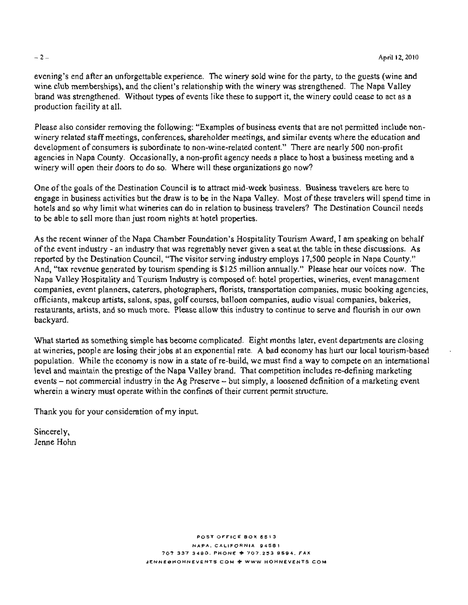non- winery related staff meetings, conferences, shareholder meetings, and similar events where the education and development of consumers is subordinate to non-wine-related content." There are nearly 500 non-profit agencies in Napa County. Occasionally, a non-profit agency needs a place to host a business meeting and a winery will open their doors to do so. Where will these organizations go now?

evening's end after an unforgettable experience. The winery sold wine for the party, to the guests (wine and wine club memberships), and the client's relationship with the winery was strengthened. The Napa Valley brand was strengthened. Without types of events like these to support it, the winery could cease to act as a production facility at all.

Please also consider removing the following: "Examples of business events that are not permitted include nonwinery related staff meetings, conferences, shareholder meetings, and similar events where the education and development of consumers is subordinate to non-wine-related content." There are nearly 500 non-profit agencies in Napa County. Occasionally, a non-profit agency needs a place to host a business meeting and a

o<br>ima i the in .cus<br>half where win sheet organizations go now.<br>
back of the Way is to be in the Napa Valley. Most of these travelers will spen Iraw is to be in the Napa Valley. Most of these travelers will spen<br>s can do in relation to business travelers? The Destination Counc they. Most of these travelers will spess travelers? The Destination Counc to be able to sell more than just room nights at hotel properties.

iscussions. As le<br>es ourses, battoon companies, audio visual companies, bakenes,<br>e allow this industry to continue to serve and flourish in our own  $A$ <br> $T$ annually." Please hear our voices now.<br>btel properties, wineries, event management companies, event planners, caterers, photographers, florists, transportation companies, music booking agencies, in the so what wind in the matrix what we had a so when the properties can do in relation to business the Destination council of the Destination Council of the Destination Council of the Destination Council of the Destinat more the process of the control of the state of the speaking coundation's Hospitality Tourism Award, I am speaking contract the traction of the speaking ity Tourism Award, I am speaking on<br>a seat at the table in these discussion<br>remploys 17,500 people in Napa Cor anies, event planners, caterers, photographers, florists, transportation companies, music booking<br>ants, makeup artists, salons, spas, golf courses, balloon companies, audio visual companies, bak Chamber<br>Chamber<br>Chamber S. Business travelers<br>Sost of these travelers weres? The Destination<br>ism Award, I am speak<br>at the table in these different in the table in these differences.<br>S. 17,500 people in Napple.<br>P. P. Please hear our volume of the Interest of the Napa Vallation to busines<br>
el properties.<br>
tion's Hospitali<br>
bly never given<br>
erving industry<br>
is \$125 million a<br>
omposed of: hot<br>
s, florists, transp<br>
s, balloon comp<br>
w this industry t<br>
uplicated. Eight<br> congr<br>it<br>y j backyard. JENNE<br>Leta<br>La

sing vineries, people are losing their jobs at an exponential rate. A bad economy has hurt our local tourism-base<br>vulation. While the economy is now in a state of re-build, we must find a way to compete on an internation  $\frac{1}{\sqrt{2}}$ arted as something simple has become complicated. Eight months later, event departments are closi<br>ries, people are losing their jobs at an exponential rate. A bad economy has hurt our local tourism-b internati<br>irketing<br>iing evel en<br>Foundation<br>Touch  $s$  – not commercial industry in the Ag Preserve – but simply, a loosened definition of a matin a winery must operate within the confines of their current permit structure. t r<br>ba<br>תכ  $\sin A$  a winery must operate within the confines of their current points. e o,<br>I.<br>T .<br>A  $\ddot{d}$  $\overline{\mathbf{s}}$ lt<br>a level and maintain the prestige of the Napa Valley brand. That competition includes re-defining marketing e<br>

Thank you for your consideration of my input. 5 9594.

Sincerely,<br>Jenne Hohn a<br>LC

> POST OFFICE BOX 6513 NAPA. CALIFORNIA 94581 707 337 3490. PHONE + 707 253 9594. FAX JENNEGHOHNEVENTS COM & WWW HOHNEVENTS COM

#### $-2-$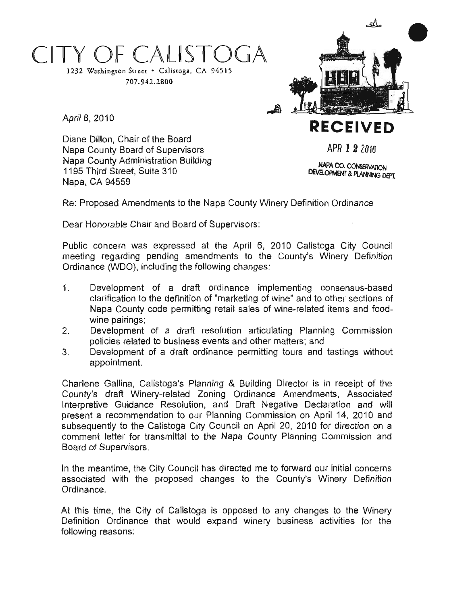# OF CALISTOGA

Diane Dillon, Chair of the Board

1195 Third Street, Suite 310

Napa County Board of Supervisors Napa County Administration Building

1232 Washington Street . Calistoga, CA 94515 707.942.2800



يتلك

April 8, 2010

Napa, CA 94559

APR 1 2 2010

**NAPA CO. CONSERVATION DEVELOPMENT & PLANNING DEPT.** 

posed Amendments to the Napa County Winery Definition Ordinan<br>onorable Chair and Board of Supervisors: )rı<br>İ

a<br>Ip the Na<br>ard of S inter<br>C<br>C er<br>d onorable Ch e<br>S d<br>D ur<br>P e:<br>ea

n<br>tic .<br>J Cit<sub>)</sub><br>ery sto<br>\ ali<br>/'s Frequences<br>
Napa window the policies to the County<br>
Napa window the County of the County<br>
County of the County of the County of the County of the County of the County<br>
The County of the County of the County of the County o Count<br>C  $\overline{\mathbf{C}}$ the following changes |<br>ว<br>าg pr<br>ha<br>ha i was expressed at the<br>ding pending amendme<br>iO), including the followin er<br>bl<br>t t<br>30<br>ss ing ti EX<br>Shi<br>Se m<br>Ma<br>I ታ<br>ነር บ<br>in<br>าa rk<br>as<br>d

- ea<br>in<br>ra<br>nio ges.<br>implementing consensus-base on<br>or<br>g\_r n<br>Developm dir<br>ma<br>eta sens<br>ner si<br>ems  $1<sub>1</sub>$ a<br>f<br>F implementing<br>ig of wine" and to Development or a<br>clarification to the defin<br>Napa County code per<br>wine pairings: ections<br>and food<br>mmissic ion to the definition of "marketing of wine" and to<br>bunty code permitting retail sales of wine-relater<br>rings;<br>ment, of .a. draft, resolution, articulating, Plant re<br>Re<br>Re o<br>cl a<sup>.</sup><br>Ia Bolitens and 1000<br>Ining Commissic
- Napa County code permi<br>wine pairings;<br>Development of a draf<br>policies related to busines wire-re<br>ating 1<br>matters would be a state of the state of the state of the state of the state of the state of the state of the state of o<br>ig  $2<sub>1</sub>$ draft resolu<br>siness events<br>raft ordinan<mark>c</mark> of
- $\frac{1}{2}$ ot the following<br>stings events and other matters<br>
dinance permitting tours<br>
internal and the set of the permitting of the set of the set of the set of the set of the set of the set of the set of the set of the set of the set of the set of the set related to busines<br>ment of a draft c<br>nent. m<br>g id<br>s 3. oا<br>ht<br>ما is

April 1996<br>April 1997 Section of the marketing School<br>Toping April 1998 Amendments<br>April 1998 lene Gallina, Calistoga's Planning & Building Director is in receipt<br>hty's draft Winery-related Zoning Ordinance Amendments, Associative Guidance Resolution, and Draft Negative Declaration and  $\frac{1}{2}$ r transmittal to the Napa County Planning Commissic<br>prs.<br>he City Council has directed me to forward our initial col s draft Winery-related Zoning Ordinance Amendments, As<br>tive Guidance Resolution, and Draft Negative Declaration .<br>BC<br>Dis ime<br>ech<br>d<br>d<br>d imission on<br>.pril 20, 2011<br>inty Plannin and c<br>21<br>nr a<br>iga<br>il to<br>to n<br>Ul<br>N ir<br>Dil<br>Ja Co<br>e<br>is n,<br>r<br>ty |<br>|<br>Col<br>C e Calistoga C<br>ז transmittal t<br>כוכו a recommendation to<br>uently to the Calistoga<br>nt letter for transmitta<br>of Sunervisors ient.<br>ia, Calistoga .<br>م p<br>ie<br>'s Board of Supervisors. o<br>ba<br>busi

<sup>e</sup> eantime, the City Council has directed me to forward our initial led with the proposed changes to the County's Winery I<br>ce. pu<br>V<br>a h<br>cł se<br>.. Commission<br>Commission<br>Commission Ordinance. r<br>ai<br>ai

s time, the City of Calistoga is opposed to any changes to the V<br>tion Ordinance that would expand winery business activities fo he<br>:s ance.<br>s\_time, the City of Calistoga is opposed to any chan Commission<br>Commission is<br>X| C<br>nc e<br><sub>1a</sub>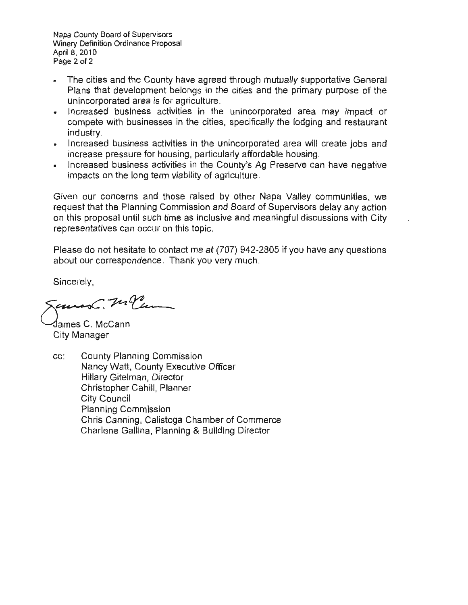Napa County Board of Supervisors Winery Definition Ordinance Proposal April 8, 2010 Page 2 of 2

- The cities and the County have agreed through mutually supportative General Plans that development belongs in the cities and the primary purpose of the unincorporated area is for agriculture.
- . Increased business activities in the unincorporated area may impact or compete with businesses in the cities, specifically the lodging and restaurant industry.
- Increased business activities in the unincorporated area will create jobs and increase pressure for housing, particularly affordable housing.
- Increased business activities in the County's Ag Preserve can have negative impacts on the long term viability of agriculture.

er Napa Valley communities, we  $\mathbf{f}$ r<br>S w<br>io<br>pre ommunitie<br>delay any<br>ussions wi our a<br>P C. an<br>...  $\frac{1}{2}$ Hillary Externe<br>City me a

our

hesitate  $\overline{c}$ ii if<br>if at (707) 942<br><sup>pu</sup> very much<br> gy<br>C Christopher<br>Ve y<br>y ct<br>an ti<br>ta Gallina,

Sincerely,

Jemes C. M. PC Planning

∕James C. McCann City Manager

.<br>Si missi<br>xecu CC: er<br>C ט<br>זר Christopher Cahill, Planner City Council **Planning Commission** Chris Canning, Calistoga Chamber of Commerce Charlene Gallina, Planning & Building Director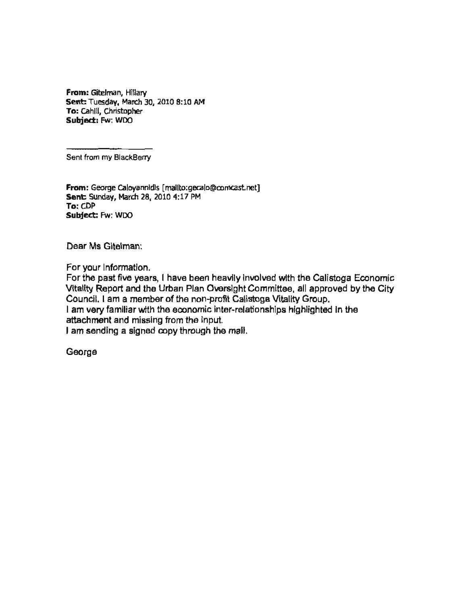From: Gitelman, Hillary Sent: Tuesday, March 30, 2010 8:10 AM To: Cahill, Christopher Subject: Fw: WDO

Sent from my BlackBerry

From: George Caloyannidis [mailto:gecalo@comcast.net] Sent: Sunday, March 28, 2010 4:17 PM To: CDP Subject: Fw: WDO

Dear Ms Gitelman:

For your Information.

ne Council. I am a member of the non-profit<br>Group.<br>I discriming the non-profit Calistope Vitality Group. ing<br>D Gitelman: d with the Ca<br>ittee, all ann d<br>ami<br>ali the Calis<br>all appro y Group. Vitality Group.<br>iip<mark>s highlighte</mark>d economic attachment and missing from the input. I am sending a signed copy through the mail.

George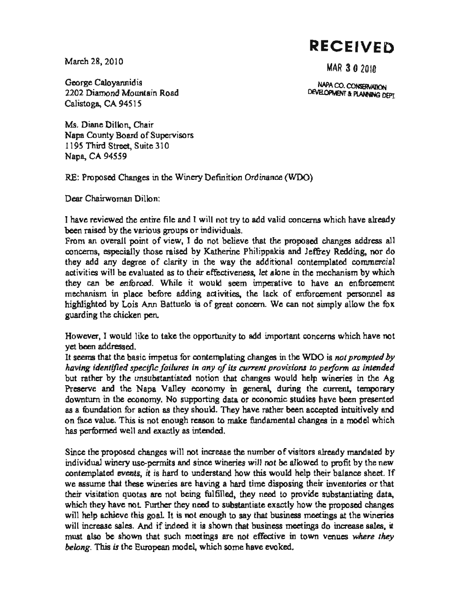**RECEIVED** 

March 28, 2010

MAR 3 0 2010

NAPA CO. CONSERVATION

DEVELOPMENT & PLANNING DEPT.

George Caloyannidis 2202 Diamond Mountain Road Calistopa, CA 94515

Ms. Diane Dillon, Chair Napa County Board of Supervisors 1195 Third Street, Suite 310 Napa, CA 94559

RE: Proposed Changes in the Winery Definition Ordinance (WDO)

Dear Chairwornan Dillon:

have they to add valid concerns which have alread viduals. raised ha<br>. m<br>ex high<br>hig rather reviewed the entire file and I will not<br>been raised by the various groups or individu ril<br>NG nd I<br>... I have reviewed the entire indi<br>End<br>C he<br>e v<br>co d<br>t<br>al iv<br>n<br>m

reviewe<br>Protest<br>Protest<br>Protest<br>Protest<br>Protest<br>Protest<br>Protest<br>Protest<br>Protest<br>Protest<br>Protest<br>Protest<br>Protest<br>Protest<br>Protest<br>Protest<br>Protest<br>Protest<br>Protest<br>Protest<br>Protest<br>Protest<br>Protest<br>Protest<br>Protest<br>Protest<br> they add any degree of clarity in the way the additional contemplated commercial<br>activities will be evaluated as to their effectiveness, let alone in the mechanism by which<br>they can be enforced. While it would seem imperat the mechanism by which<br>to have an enforcement<br>inforcement personnel a ply allow the fo no therine Philippakis and Jeffrey Redding, no<br>way the additional contemplated comme<br>fectiveness, let alone in the mechanism by w From an overall point of view, I do not believe that the proposed changes add<br>concerns, especially those raised by Katherine Philippakis and Jeffrey Redding,<br>they add any degree of clarity in the way the additional contemp forced. While it would seem imperative to have an enfor<br>ace before adding activities, the lack of enforcement persor<br>his Ann Battuelo is of great concern. We can not simply allow e and I will not try to add valid concerns which<br>youps or individuals.<br>ew, I do not believe that the proposed charaised by Katherine Philippakis and Jeffrey F hء:<br>er m<br>ne<br>.v elo is of great concern. We can not sin lease to their effectiveness, let a<br>i. While it would seem imperibe<br>fore adding activities, the lack na<br>lip<br>L iden<br>1<br>Fied unsubstantiated<br>it is the control<br>that the This expectative this called by A<br>y add any degree of clarity in the will be evaluated as to their e ec<br>N<br>i I<br>Ibu<br>Dy nism in place before a<br>ghted by Lois Ann Batti<br>ng the chicken pen. n. alu<br>ce<br>E<br>A and and design the control of the control of the control of the control of the control of the control of the control of the control of the control of the control of the control of the control of the control of the control y can be enfo where the Further goals in the Further<br>integrating the chief by<br>P ں<br>. ex<br>م ng ti ngni<br><mark>zuar</mark>c

nc<br>. or do take the opportunity to add important concerns which have<br>master for contemplating shanges in the WDO is not assumed.  $\alpha$  is which if<br>) is not prom rh<br>m h<br>. e<br>LS ke  $\frac{1}{1}$ derstander wever, I would<br>been address<br>eerns that the being , ]<br>ad not it Hd<br>ye<br>z

 $\cdot$ <sup>t</sup> ue<br>^ having identified specific failures in any of its current provisions to perform as intendent<br>but rather by the unsubstantiated notion that changes would help wineries in the A<br>Desegns and the Name Mallou accessory in speci ther by the unsubstantiated notion that changes would help winenes in the A<br>we and the Napa Valley economy in general, during the current, temporar<br>urn in the economy. No supporting data or economic studies have been prese valid the Philippan<br>valid the Philippania<br>reduced the Philippania ie<br>te<br>.et ic impetus for contemplating changes in the WDO is not prompetific failures in any of its current provisions to perform as in asubstantiated notion that changes would help wineries in n<br>a e<br>in<br>a 1 e<br>of<br>ine<br>ire ave rather been accepted<br>fundamental changes in im<br>per<br>peratives l, during the ather been according or contemplating changes in the V<br>es in any of its current provision. l<br>concern.<br>co im<br>ge a<br>co<br>che<br>che ger<br>E y<br>ak n for action as they should. The This is not enough reason to n well and exactly as intended. Isubstantiance not ra<br>ti<br>io: as performed well and exactly as intentions income the proposed changes will not inc the economy. No suppo<br>ion for action as they she<br>e. This is not enough res rundamental<br>amental m<br>îe help yet been addri<br>It seems that t<br>having identij ther by<br>ve and to to lei<br>Ta<br>a i unda<br>e val<br>rforn business<br>Business<br>Business

proposed the notice. concerns has performed well and<br>Since the proposed chow rs<br>et<br>et y<br>ofi<br>nt lr<br>nd ease the c<br>K Increase the number of visitors already massince wineries will not be allowed to profit by understand how this would help their balance th<br>du<br>mr proposed on mechanism<br>internet<br>he ies will not be allowed to profit by the new<br>how this would help their balance sheet. I<br>ard time disposing their inventories or the er<br>is iV. nd smce wineries will not be allowed to profit by<br>the understand how this would help their balance<br>are having a hard time disposing their inventories<br>being fulfilled, they need to provide substantia rti<br>Si vur<br>sd<br>thion<br>ha n<br>x<br>v iven<br>in<br>index<br>in exents, ine that these<br>itation quotas in temp<br>assu<br>r vis ire hij<br>eing<br>rot have the disposing their inventories or the<br>ed, they need to provide substantiating data<br>ubstantiate exactly how the proposed change<br>to say that business meetings at the winerie n<br>m<br>Dé en<br>de<br>de isitation quotas eur<br>poet<br>cro heir visitation quotas<br>which they have not. I minied, they need to provide substantiating<br>ad to substantiate exactly how the proposed c<br>mough to say that business meetings at the w<br>s shown that business meetings do increase s tem<br>up<br>teo ich they have not. Further they need to substantiate exactly how the proposed change<br>I help achieve this goal. It is not enough to say that business meetings at the winerie<br>I increase sales. And if indeed it is shown that will help achieve this goal. It is not enough to say that business meetings at the w<br>will increase sales. And if indeed it is shown that business meetings do increase s belong. This is the European model, which some have evoked.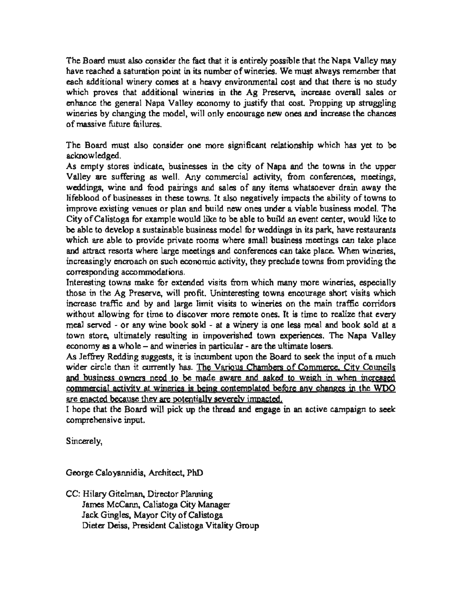The Board must also consider the fact that it is entirely possible that the Napa Valley may have reached a saturation point in its number of wineries. We must always remember that each additional winery comes at a heavy environmental cost and that there is no study which proves that additional wineries in the Ag Preserve, increase overall sales or enhance the general Napa Valley economy to justify that cost. Propping up struggling wineries by changing the model, will only encourage new ones and increase the chances of massive future failures

The Board must also consider one more significant relationship which has yet to be acknowledged.

As empty stores indicate, businesses in the city of Napa and the towns in the upper Valley are suffering as well. Any commercial activity, from conferences, meetings, weddings, wine and food pairings and sales of any items whatsoever drain away the lifeblood of businesses in these towns. It also negatively impacts the ability of towns to Isting venues or plan and build new ones under a viable business model. The stoga for example would like to be able to build an event center, would like to be able to build an event center, would like to be able to build a prove existing venues or plan and build new on<br>y of Calistoga for example would like to be able<br>able to develop a sustainable business model for<br>ich are able to provide private rooms where an<br>lattract resorts where large m n<br>vo<br>et<br>m ild<br>e t<br>ls<br>ls es<br>to<br>v a viable business model.<br>an event center, would lil<br>s in its park have restaur iable<br>event<br>n its t business model. The<br>center, would like to<br>park, have restaurants<br>stings can take place sir<br>nt:<br>gs<br>e. es<br>T,<br>C2<br>-ur<br>Ild the siness model for weddings in its prooms where small business me stauran<br>ake plaa<br>iding th -<br>0<br>CCC<br>2-2 ness<br>in tak<br>ude to 1 take place<br>en wineries,<br>roviding the ich are able to provide private rooms where small but<br>I attract resorts where large meetings and conferences<br>preasingly encroach on such economic activity, they pre<br>rresponding accommodations. resorts where large meetings and conferences can take place. When w<br>y encroach on such economic activity, they preclude towns from providing<br>accommodations. for any conferences can<br>find activity, they prechability is the many en<br>Li<br>rie owners Board corresponding accommodations.

 $\frac{1}{2}$ or y one less meal and book sold at a<br>vn experiences. The Napa Valley<br>he ultimate losers.  $\mathfrak{h}$ ore wineries, especiali<br>trage short visits whic encourage short visits which<br>encourage short visits which<br>is time to realize that even where on the main hand come<br>over more remote ones. It is time to realize that even w<br>at<br>lle es<br>W<br>C private<br>private rooms ol<br>Va on time wine wine wine. e<br>dec ro<br>براہ<br>re to<br>},<br>}, by is ti<br>less<br>perie n unpoverished town experie<br>s in particular - are the ultimate ov<br>eri<br>. . wisks to wir<br>hore remote of<br>at a winery is any wine book sold - at a winery is rom<br>resti<mark>s</mark><br>sto d<br>- 1<br>C . Un<br>nit <mark>v</mark><br>r mo er<br>di<br>nt served - or any wine book so<br>store, ultimately resulting in<br>my as a whole – and wineries Sting towns is<br>in the Ag Pr<br>ase traffic and<br>ut allowing fi pr<br>St<br>ir ی<br>at<br>CE: Te<br>Pr<br>10 --<br>Cal<br>vn

new to seek the mput of a much<br>the solid Commerce, City Councils<br>of to weigh in when increased d business owners need to be made aware and asked to weigh in when increased<br>mmercial activity at wineries is being contemplated before any changes in the WDO<br>e enacted because they are potentially severely impacted. unimate to sers.<br>pard to seek the input of a much n<br>di<br>di <u>weigh</u> w<br>Je unic<br>Union<br>Union made aware and asked to impacted. ihe<br>: B<br>usk<br>d cular - are<br>nt upon the<br>rious Char<br>ware and eh<br>a cumben<br><u>he Vari</u><br>ade aw  $\frac{V}{g}$ <br> $\frac{g}{g}$ <u>beit</u><br>tially<br>pthe y as a whole – and wineries<br>by as a whole – and wineries<br>ey Redding suggests, it is in<br>rcle than it currently has. 1 on<br>Ji<br>de

towns wind<br>the indicate of the same set<br>of the same set impact<br>denga<sub>r</sub> o<br>O asked eek mpaig<del>n</del><br>. before comprehensive input.

Sincerely,

George Caloyannidis, Architect, PhD

'alistoga<br><sub>'</sub>ga Vitality Grou G er<br>ity CC: Hilary Gitelman, Director Planning<br>James McCann, Calistoga City Manager Jack Gingles, Mayor City of Calistoga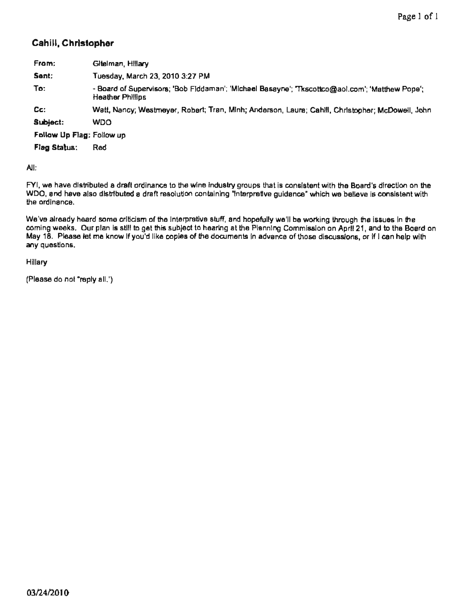### Cahill, Christopher

| From:                     | Gitelman, Hillary                                                                                                   |
|---------------------------|---------------------------------------------------------------------------------------------------------------------|
| Sent:                     | Tuesday, March 23, 2010 3:27 PM                                                                                     |
| To:                       | - Board of Supervisors; 'Bob Fiddaman'; 'Michael Basayne'; 'Tkscottco@aol.com'; 'Matthew Pope';<br>Heather Phillips |
| $Cc$ :                    | Watt, Nancy; Westmeyer, Robert; Tran, Minh; Anderson, Laura; Cahlll, Christopher; McDowell, John                    |
| Subject:                  | <b>WDO</b>                                                                                                          |
| Follow Up Flag: Follow up |                                                                                                                     |
| Flag Status:              | Red                                                                                                                 |
| All:                      |                                                                                                                     |

with the Board's direction on t<br>. ori<br>ie: hard's direction on the<br>have is consistent wite<br>. do the ordinance.

rc<br>itl ng through the issues in the<br>n on April 21, and to the Bo We've already heard some criticism of the interpretive stuff, and hopefully we'll be working through the issues in the  $s$  can be a matrix plane of  $s$  if  $\alpha$ distributed any questions.

Hillary

(Please do not "reply all.")